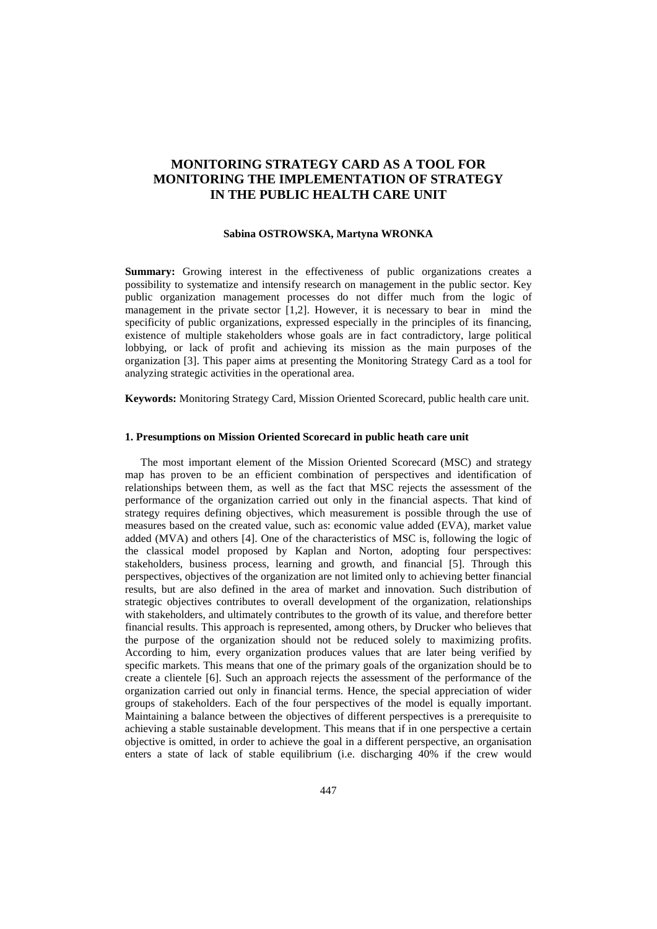# **MONITORING STRATEGY CARD AS A TOOL FOR MONITORING THE IMPLEMENTATION OF STRATEGY IN THE PUBLIC HEALTH CARE UNIT**

#### **Sabina OSTROWSKA, Martyna WRONKA**

**Summary:** Growing interest in the effectiveness of public organizations creates a possibility to systematize and intensify research on management in the public sector. Key public organization management processes do not differ much from the logic of management in the private sector [1,2]. However, it is necessary to bear in mind the specificity of public organizations, expressed especially in the principles of its financing, existence of multiple stakeholders whose goals are in fact contradictory, large political lobbying, or lack of profit and achieving its mission as the main purposes of the organization [3]. This paper aims at presenting the Monitoring Strategy Card as a tool for analyzing strategic activities in the operational area.

**Keywords:** Monitoring Strategy Card, Mission Oriented Scorecard, public health care unit.

### **1. Presumptions on Mission Oriented Scorecard in public heath care unit**

The most important element of the Mission Oriented Scorecard (MSC) and strategy map has proven to be an efficient combination of perspectives and identification of relationships between them, as well as the fact that MSC rejects the assessment of the performance of the organization carried out only in the financial aspects. That kind of strategy requires defining objectives, which measurement is possible through the use of measures based on the created value, such as: economic value added (EVA), market value added (MVA) and others [4]. One of the characteristics of MSC is, following the logic of the classical model proposed by Kaplan and Norton, adopting four perspectives: stakeholders, business process, learning and growth, and financial [5]. Through this perspectives, objectives of the organization are not limited only to achieving better financial results, but are also defined in the area of market and innovation. Such distribution of strategic objectives contributes to overall development of the organization, relationships with stakeholders, and ultimately contributes to the growth of its value, and therefore better financial results. This approach is represented, among others, by Drucker who believes that the purpose of the organization should not be reduced solely to maximizing profits. According to him, every organization produces values that are later being verified by specific markets. This means that one of the primary goals of the organization should be to create a clientele [6]. Such an approach rejects the assessment of the performance of the organization carried out only in financial terms. Hence, the special appreciation of wider groups of stakeholders. Each of the four perspectives of the model is equally important. Maintaining a balance between the objectives of different perspectives is a prerequisite to achieving a stable sustainable development. This means that if in one perspective a certain objective is omitted, in order to achieve the goal in a different perspective, an organisation enters a state of lack of stable equilibrium (i.e. discharging 40% if the crew would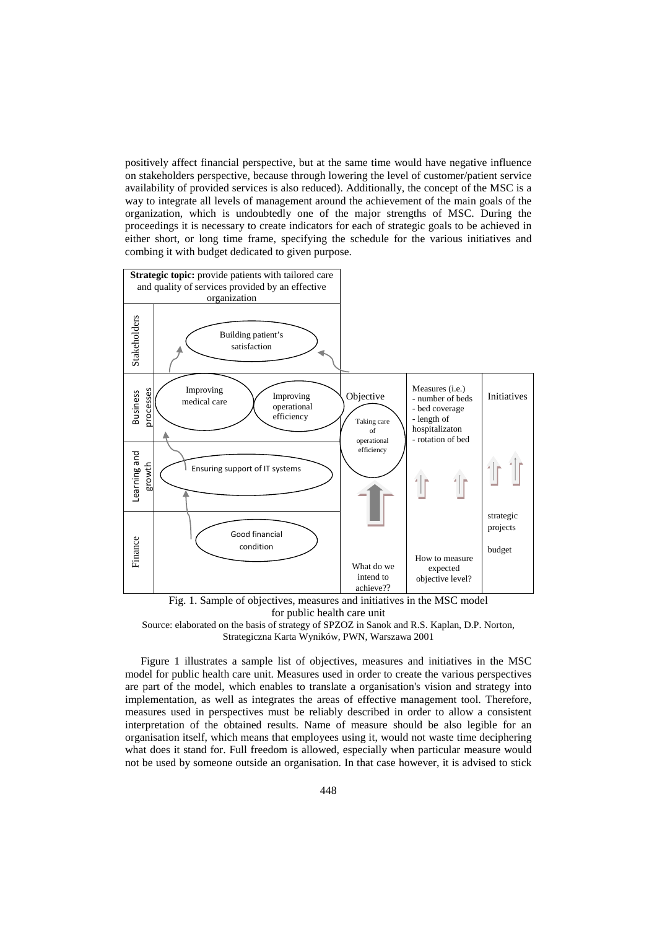positively affect financial perspective, but at the same time would have negative influence on stakeholders perspective, because through lowering the level of customer/patient service availability of provided services is also reduced). Additionally, the concept of the MSC is a way to integrate all levels of management around the achievement of the main goals of the organization, which is undoubtedly one of the major strengths of MSC. During the proceedings it is necessary to create indicators for each of strategic goals to be achieved in either short, or long time frame, specifying the schedule for the various initiatives and combing it with budget dedicated to given purpose.



Fig. 1. Sample of objectives, measures and initiatives in the MSC model for public health care unit



Figure 1 illustrates a sample list of objectives, measures and initiatives in the MSC model for public health care unit. Measures used in order to create the various perspectives are part of the model, which enables to translate a organisation's vision and strategy into implementation, as well as integrates the areas of effective management tool. Therefore, measures used in perspectives must be reliably described in order to allow a consistent interpretation of the obtained results. Name of measure should be also legible for an organisation itself, which means that employees using it, would not waste time deciphering what does it stand for. Full freedom is allowed, especially when particular measure would not be used by someone outside an organisation. In that case however, it is advised to stick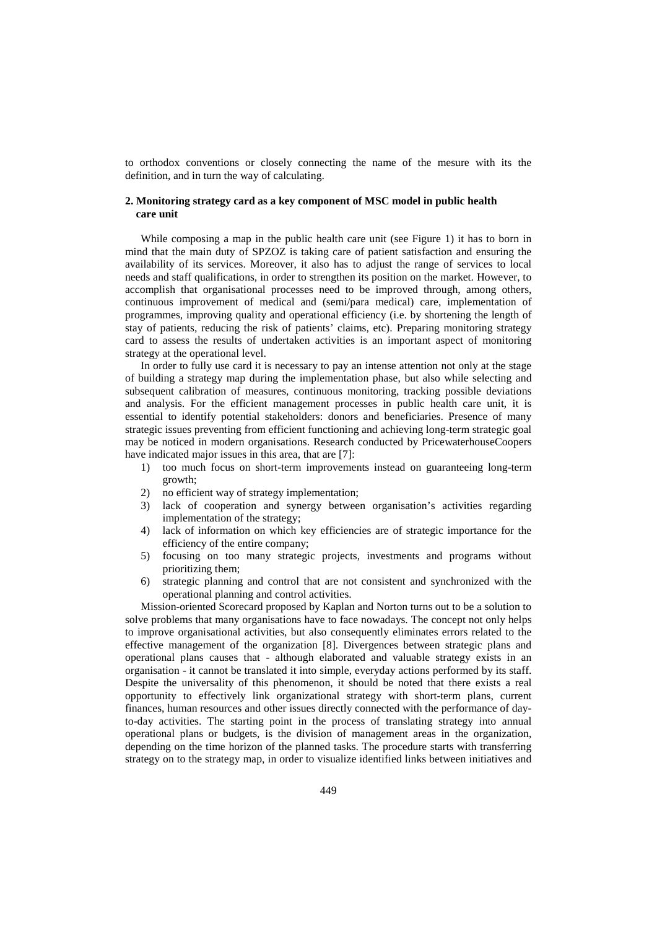to orthodox conventions or closely connecting the name of the mesure with its the definition, and in turn the way of calculating.

## **2. Monitoring strategy card as a key component of MSC model in public health care unit**

While composing a map in the public health care unit (see Figure 1) it has to born in mind that the main duty of SPZOZ is taking care of patient satisfaction and ensuring the availability of its services. Moreover, it also has to adjust the range of services to local needs and staff qualifications, in order to strengthen its position on the market. However, to accomplish that organisational processes need to be improved through, among others, continuous improvement of medical and (semi/para medical) care, implementation of programmes, improving quality and operational efficiency (i.e. by shortening the length of stay of patients, reducing the risk of patients' claims, etc). Preparing monitoring strategy card to assess the results of undertaken activities is an important aspect of monitoring strategy at the operational level.

In order to fully use card it is necessary to pay an intense attention not only at the stage of building a strategy map during the implementation phase, but also while selecting and subsequent calibration of measures, continuous monitoring, tracking possible deviations and analysis. For the efficient management processes in public health care unit, it is essential to identify potential stakeholders: donors and beneficiaries. Presence of many strategic issues preventing from efficient functioning and achieving long-term strategic goal may be noticed in modern organisations. Research conducted by PricewaterhouseCoopers have indicated major issues in this area, that are [7]:

- 1) too much focus on short-term improvements instead on guaranteeing long-term growth;
- 2) no efficient way of strategy implementation;
- 3) lack of cooperation and synergy between organisation's activities regarding implementation of the strategy;
- 4) lack of information on which key efficiencies are of strategic importance for the efficiency of the entire company;
- 5) focusing on too many strategic projects, investments and programs without prioritizing them;
- 6) strategic planning and control that are not consistent and synchronized with the operational planning and control activities.

Mission-oriented Scorecard proposed by Kaplan and Norton turns out to be a solution to solve problems that many organisations have to face nowadays. The concept not only helps to improve organisational activities, but also consequently eliminates errors related to the effective management of the organization [8]. Divergences between strategic plans and operational plans causes that - although elaborated and valuable strategy exists in an organisation - it cannot be translated it into simple, everyday actions performed by its staff. Despite the universality of this phenomenon, it should be noted that there exists a real opportunity to effectively link organizational strategy with short-term plans, current finances, human resources and other issues directly connected with the performance of dayto-day activities. The starting point in the process of translating strategy into annual operational plans or budgets, is the division of management areas in the organization, depending on the time horizon of the planned tasks. The procedure starts with transferring strategy on to the strategy map, in order to visualize identified links between initiatives and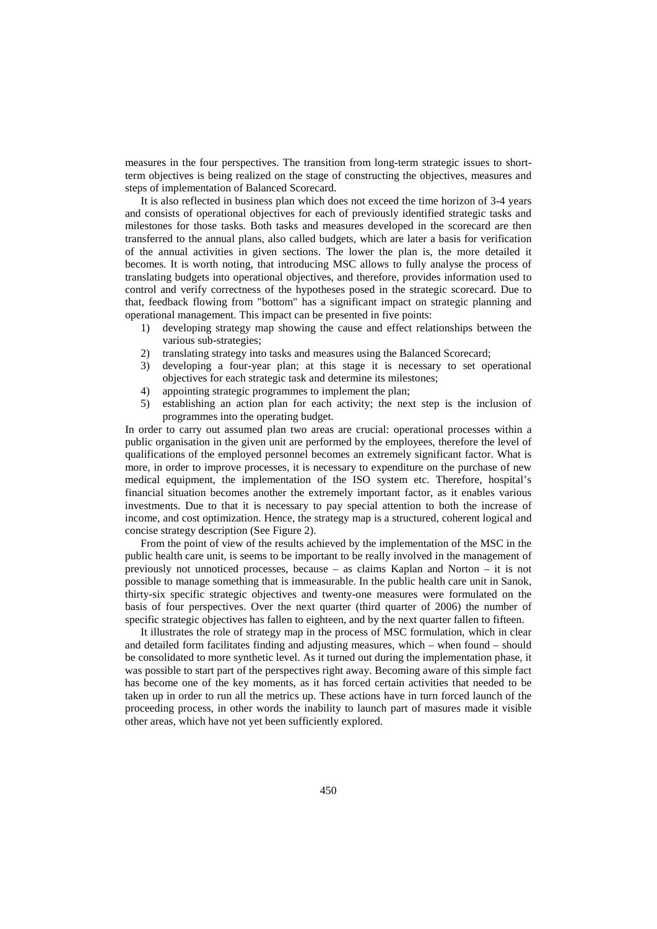measures in the four perspectives. The transition from long-term strategic issues to shortterm objectives is being realized on the stage of constructing the objectives, measures and steps of implementation of Balanced Scorecard.

It is also reflected in business plan which does not exceed the time horizon of 3-4 years and consists of operational objectives for each of previously identified strategic tasks and milestones for those tasks. Both tasks and measures developed in the scorecard are then transferred to the annual plans, also called budgets, which are later a basis for verification of the annual activities in given sections. The lower the plan is, the more detailed it becomes. It is worth noting, that introducing MSC allows to fully analyse the process of translating budgets into operational objectives, and therefore, provides information used to control and verify correctness of the hypotheses posed in the strategic scorecard. Due to that, feedback flowing from "bottom" has a significant impact on strategic planning and operational management. This impact can be presented in five points:

- 1) developing strategy map showing the cause and effect relationships between the various sub-strategies;
- 2) translating strategy into tasks and measures using the Balanced Scorecard;
- 3) developing a four-year plan; at this stage it is necessary to set operational objectives for each strategic task and determine its milestones;
- 4) appointing strategic programmes to implement the plan;
- 5) establishing an action plan for each activity; the next step is the inclusion of programmes into the operating budget.

In order to carry out assumed plan two areas are crucial: operational processes within a public organisation in the given unit are performed by the employees, therefore the level of qualifications of the employed personnel becomes an extremely significant factor. What is more, in order to improve processes, it is necessary to expenditure on the purchase of new medical equipment, the implementation of the ISO system etc. Therefore, hospital's financial situation becomes another the extremely important factor, as it enables various investments. Due to that it is necessary to pay special attention to both the increase of income, and cost optimization. Hence, the strategy map is a structured, coherent logical and concise strategy description (See Figure 2).

From the point of view of the results achieved by the implementation of the MSC in the public health care unit, is seems to be important to be really involved in the management of previously not unnoticed processes, because – as claims Kaplan and Norton – it is not possible to manage something that is immeasurable. In the public health care unit in Sanok, thirty-six specific strategic objectives and twenty-one measures were formulated on the basis of four perspectives. Over the next quarter (third quarter of 2006) the number of specific strategic objectives has fallen to eighteen, and by the next quarter fallen to fifteen.

It illustrates the role of strategy map in the process of MSC formulation, which in clear and detailed form facilitates finding and adjusting measures, which – when found – should be consolidated to more synthetic level. As it turned out during the implementation phase, it was possible to start part of the perspectives right away. Becoming aware of this simple fact has become one of the key moments, as it has forced certain activities that needed to be taken up in order to run all the metrics up. These actions have in turn forced launch of the proceeding process, in other words the inability to launch part of masures made it visible other areas, which have not yet been sufficiently explored.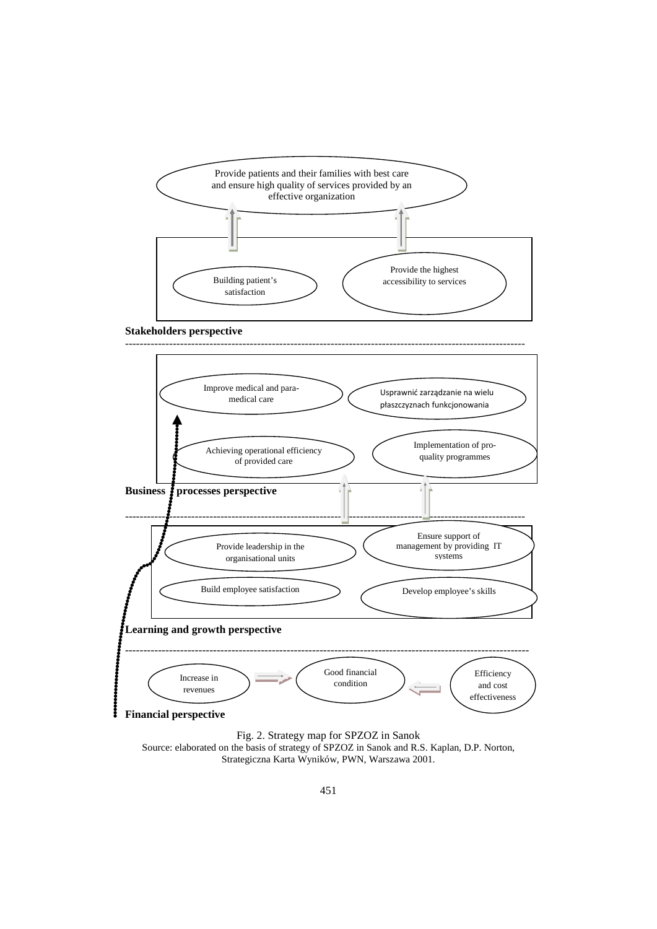



Fig. 2. Strategy map for SPZOZ in Sanok Source: elaborated on the basis of strategy of SPZOZ in Sanok and R.S. Kaplan, D.P. Norton, Strategiczna Karta Wyników, PWN, Warszawa 2001.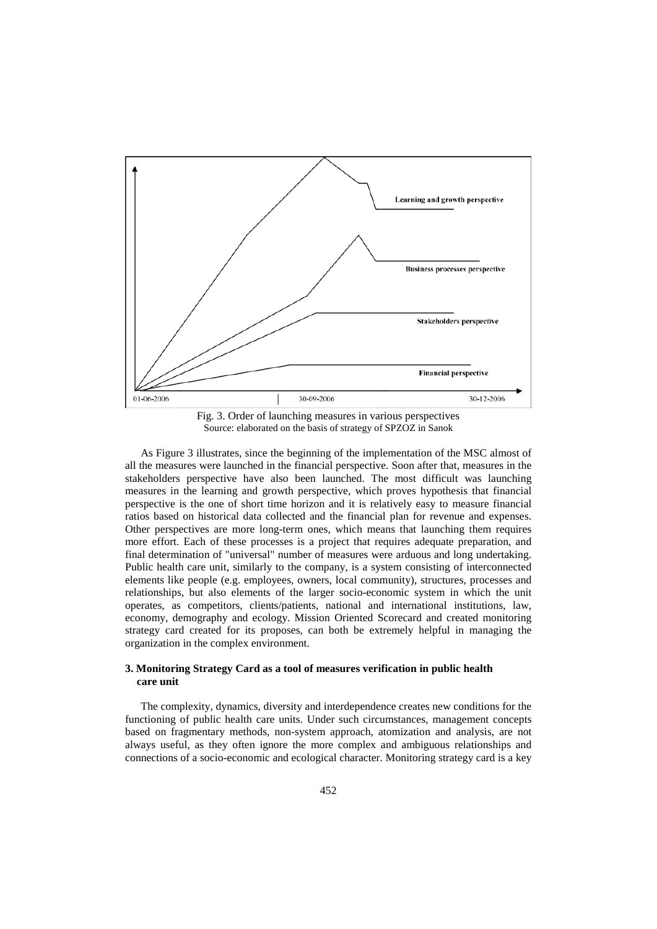

Fig. 3. Order of launching measures in various perspectives Source: elaborated on the basis of strategy of SPZOZ in Sanok

As Figure 3 illustrates, since the beginning of the implementation of the MSC almost of all the measures were launched in the financial perspective. Soon after that, measures in the stakeholders perspective have also been launched. The most difficult was launching measures in the learning and growth perspective, which proves hypothesis that financial perspective is the one of short time horizon and it is relatively easy to measure financial ratios based on historical data collected and the financial plan for revenue and expenses. Other perspectives are more long-term ones, which means that launching them requires more effort. Each of these processes is a project that requires adequate preparation, and final determination of "universal" number of measures were arduous and long undertaking. Public health care unit, similarly to the company, is a system consisting of interconnected elements like people (e.g. employees, owners, local community), structures, processes and relationships, but also elements of the larger socio-economic system in which the unit operates, as competitors, clients/patients, national and international institutions, law, economy, demography and ecology. Mission Oriented Scorecard and created monitoring strategy card created for its proposes, can both be extremely helpful in managing the organization in the complex environment.

## **3. Monitoring Strategy Card as a tool of measures verification in public health care unit**

The complexity, dynamics, diversity and interdependence creates new conditions for the functioning of public health care units. Under such circumstances, management concepts based on fragmentary methods, non-system approach, atomization and analysis, are not always useful, as they often ignore the more complex and ambiguous relationships and connections of a socio-economic and ecological character. Monitoring strategy card is a key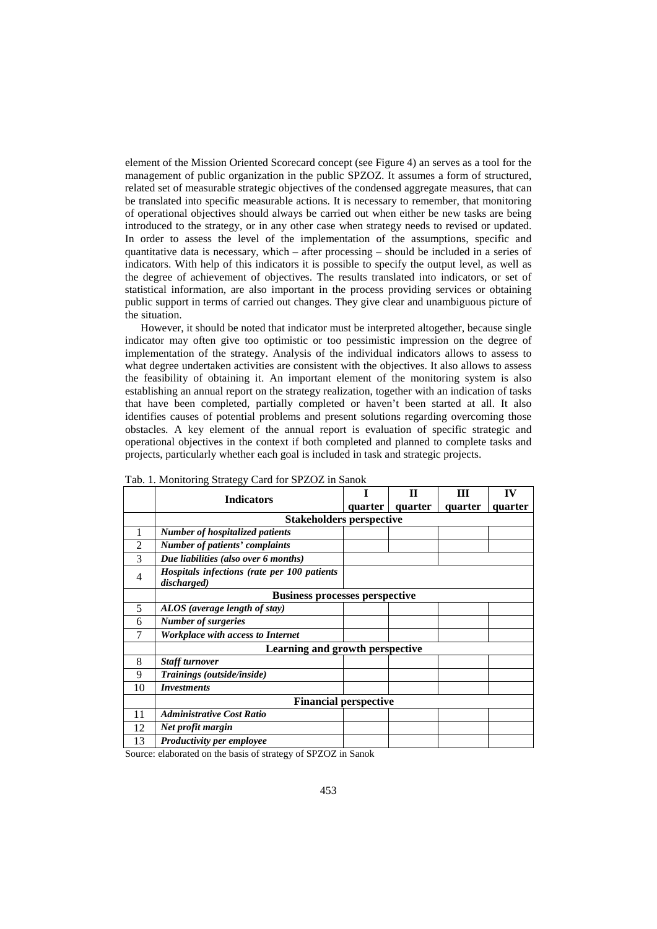element of the Mission Oriented Scorecard concept (see Figure 4) an serves as a tool for the management of public organization in the public SPZOZ. It assumes a form of structured, related set of measurable strategic objectives of the condensed aggregate measures, that can be translated into specific measurable actions. It is necessary to remember, that monitoring of operational objectives should always be carried out when either be new tasks are being introduced to the strategy, or in any other case when strategy needs to revised or updated. In order to assess the level of the implementation of the assumptions, specific and quantitative data is necessary, which – after processing – should be included in a series of indicators. With help of this indicators it is possible to specify the output level, as well as the degree of achievement of objectives. The results translated into indicators, or set of statistical information, are also important in the process providing services or obtaining public support in terms of carried out changes. They give clear and unambiguous picture of the situation.

However, it should be noted that indicator must be interpreted altogether, because single indicator may often give too optimistic or too pessimistic impression on the degree of implementation of the strategy. Analysis of the individual indicators allows to assess to what degree undertaken activities are consistent with the objectives. It also allows to assess the feasibility of obtaining it. An important element of the monitoring system is also establishing an annual report on the strategy realization, together with an indication of tasks that have been completed, partially completed or haven't been started at all. It also identifies causes of potential problems and present solutions regarding overcoming those obstacles. A key element of the annual report is evaluation of specific strategic and operational objectives in the context if both completed and planned to complete tasks and projects, particularly whether each goal is included in task and strategic projects.

|    | <b>Indicators</b>                                          |         | П       | ш       | IV      |
|----|------------------------------------------------------------|---------|---------|---------|---------|
|    |                                                            | quarter | quarter | quarter | quarter |
|    | <b>Stakeholders perspective</b>                            |         |         |         |         |
| 1  | <b>Number of hospitalized patients</b>                     |         |         |         |         |
| 2  | Number of patients' complaints                             |         |         |         |         |
| 3  | Due liabilities (also over 6 months)                       |         |         |         |         |
| 4  | Hospitals infections (rate per 100 patients<br>discharged) |         |         |         |         |
|    | <b>Business processes perspective</b>                      |         |         |         |         |
| 5  | ALOS (average length of stay)                              |         |         |         |         |
| 6  | <b>Number of surgeries</b>                                 |         |         |         |         |
| 7  | Workplace with access to Internet                          |         |         |         |         |
|    | Learning and growth perspective                            |         |         |         |         |
| 8  | Staff turnover                                             |         |         |         |         |
| 9  | Trainings (outside/inside)                                 |         |         |         |         |
| 10 | <b>Investments</b>                                         |         |         |         |         |
|    | <b>Financial perspective</b>                               |         |         |         |         |
| 11 | <b>Administrative Cost Ratio</b>                           |         |         |         |         |
| 12 | Net profit margin                                          |         |         |         |         |
| 13 | Productivity per employee                                  |         |         |         |         |

Tab. 1. Monitoring Strategy Card for SPZOZ in Sanok

Source: elaborated on the basis of strategy of SPZOZ in Sanok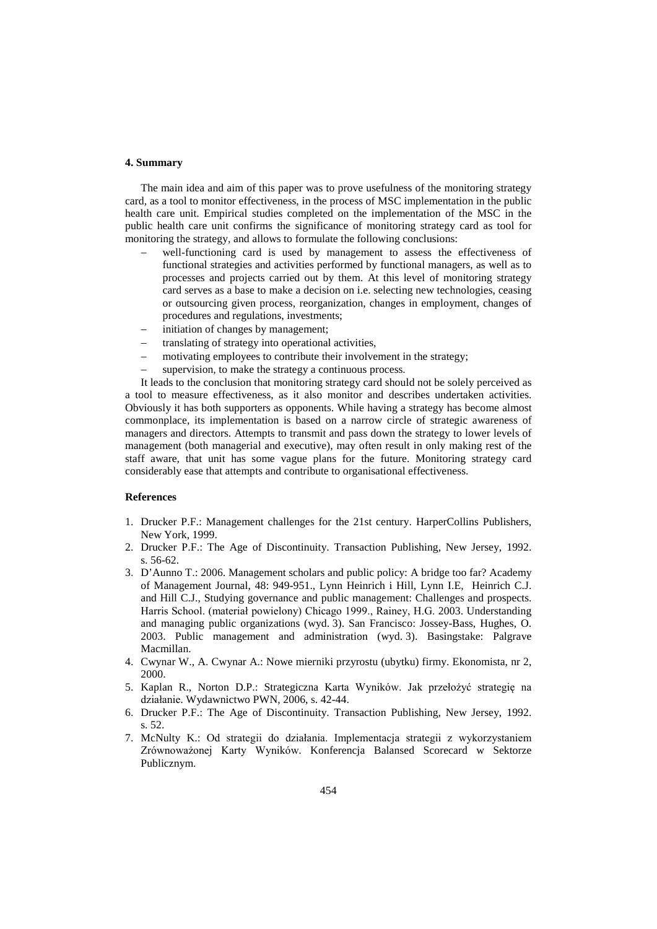#### **4. Summary**

The main idea and aim of this paper was to prove usefulness of the monitoring strategy card, as a tool to monitor effectiveness, in the process of MSC implementation in the public health care unit. Empirical studies completed on the implementation of the MSC in the public health care unit confirms the significance of monitoring strategy card as tool for monitoring the strategy, and allows to formulate the following conclusions:

- well-functioning card is used by management to assess the effectiveness of functional strategies and activities performed by functional managers, as well as to processes and projects carried out by them. At this level of monitoring strategy card serves as a base to make a decision on i.e. selecting new technologies, ceasing or outsourcing given process, reorganization, changes in employment, changes of procedures and regulations, investments;
- initiation of changes by management;
- translating of strategy into operational activities,
- motivating employees to contribute their involvement in the strategy;
- supervision, to make the strategy a continuous process.

It leads to the conclusion that monitoring strategy card should not be solely perceived as a tool to measure effectiveness, as it also monitor and describes undertaken activities. Obviously it has both supporters as opponents. While having a strategy has become almost commonplace, its implementation is based on a narrow circle of strategic awareness of managers and directors. Attempts to transmit and pass down the strategy to lower levels of management (both managerial and executive), may often result in only making rest of the staff aware, that unit has some vague plans for the future. Monitoring strategy card considerably ease that attempts and contribute to organisational effectiveness.

#### **References**

- 1. Drucker P.F.: Management challenges for the 21st century. HarperCollins Publishers, New York, 1999.
- 2. Drucker P.F.: The Age of Discontinuity. Transaction Publishing, New Jersey, 1992. s. 56-62.
- 3. D'Aunno T.: 2006. Management scholars and public policy: A bridge too far? Academy of Management Journal, 48: 949-951., Lynn Heinrich i Hill, Lynn I.E, Heinrich C.J. and Hill C.J., Studying governance and public management: Challenges and prospects. Harris School. (materiał powielony) Chicago 1999., Rainey, H.G. 2003. Understanding and managing public organizations (wyd. 3). San Francisco: Jossey-Bass, Hughes, O. 2003. Public management and administration (wyd. 3). Basingstake: Palgrave Macmillan.
- 4. Cwynar W., A. Cwynar A.: Nowe mierniki przyrostu (ubytku) firmy. Ekonomista, nr 2, 2000.
- 5. Kaplan R., Norton D.P.: Strategiczna Karta Wyników. Jak przełożyć strategię na działanie. Wydawnictwo PWN, 2006, s. 42-44.
- 6. Drucker P.F.: The Age of Discontinuity. Transaction Publishing, New Jersey, 1992. s. 52.
- 7. McNulty K.: Od strategii do działania. Implementacja strategii z wykorzystaniem Zrównoważonej Karty Wyników. Konferencja Balansed Scorecard w Sektorze Publicznym.